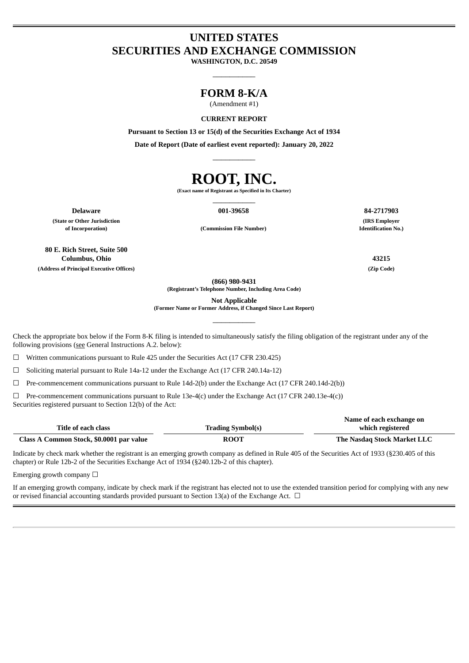# **UNITED STATES SECURITIES AND EXCHANGE COMMISSION**

**WASHINGTON, D.C. 20549**  $\overline{\phantom{a}}$   $\overline{\phantom{a}}$   $\overline{\phantom{a}}$   $\overline{\phantom{a}}$   $\overline{\phantom{a}}$   $\overline{\phantom{a}}$   $\overline{\phantom{a}}$   $\overline{\phantom{a}}$   $\overline{\phantom{a}}$   $\overline{\phantom{a}}$   $\overline{\phantom{a}}$   $\overline{\phantom{a}}$   $\overline{\phantom{a}}$   $\overline{\phantom{a}}$   $\overline{\phantom{a}}$   $\overline{\phantom{a}}$   $\overline{\phantom{a}}$   $\overline{\phantom{a}}$   $\overline{\$ 

## **FORM 8-K/A**

(Amendment #1)

**CURRENT REPORT**

**Pursuant to Section 13 or 15(d) of the Securities Exchange Act of 1934**

**Date of Report (Date of earliest event reported): January 20, 2022**  $\overline{\phantom{a}}$   $\overline{\phantom{a}}$   $\overline{\phantom{a}}$   $\overline{\phantom{a}}$   $\overline{\phantom{a}}$   $\overline{\phantom{a}}$   $\overline{\phantom{a}}$   $\overline{\phantom{a}}$   $\overline{\phantom{a}}$   $\overline{\phantom{a}}$   $\overline{\phantom{a}}$   $\overline{\phantom{a}}$   $\overline{\phantom{a}}$   $\overline{\phantom{a}}$   $\overline{\phantom{a}}$   $\overline{\phantom{a}}$   $\overline{\phantom{a}}$   $\overline{\phantom{a}}$   $\overline{\$ 

# **ROOT, INC.**

**(Exact name of Registrant as Specified in Its Charter)**  $\overline{\phantom{a}}$   $\overline{\phantom{a}}$   $\overline{\phantom{a}}$   $\overline{\phantom{a}}$   $\overline{\phantom{a}}$   $\overline{\phantom{a}}$   $\overline{\phantom{a}}$   $\overline{\phantom{a}}$   $\overline{\phantom{a}}$   $\overline{\phantom{a}}$   $\overline{\phantom{a}}$   $\overline{\phantom{a}}$   $\overline{\phantom{a}}$   $\overline{\phantom{a}}$   $\overline{\phantom{a}}$   $\overline{\phantom{a}}$   $\overline{\phantom{a}}$   $\overline{\phantom{a}}$   $\overline{\$ 

**(State or Other Jurisdiction of Incorporation) (Commission File Number)**

**Delaware 001-39658 84-2717903**

**80 E. Rich Street, Suite 500 Columbus, Ohio 43215 (Address of Principal Executive Offices) (Zip Code)**

**(IRS Employer Identification No.)**

**(866) 980-9431**

**(Registrant's Telephone Number, Including Area Code)**

**Not Applicable**

**(Former Name or Former Address, if Changed Since Last Report)**  $\overline{\phantom{a}}$   $\overline{\phantom{a}}$   $\overline{\phantom{a}}$   $\overline{\phantom{a}}$   $\overline{\phantom{a}}$   $\overline{\phantom{a}}$   $\overline{\phantom{a}}$   $\overline{\phantom{a}}$   $\overline{\phantom{a}}$   $\overline{\phantom{a}}$   $\overline{\phantom{a}}$   $\overline{\phantom{a}}$   $\overline{\phantom{a}}$   $\overline{\phantom{a}}$   $\overline{\phantom{a}}$   $\overline{\phantom{a}}$   $\overline{\phantom{a}}$   $\overline{\phantom{a}}$   $\overline{\$ 

Check the appropriate box below if the Form 8-K filing is intended to simultaneously satisfy the filing obligation of the registrant under any of the following provisions (see General Instructions A.2. below):

 $\Box$  Written communications pursuant to Rule 425 under the Securities Act (17 CFR 230.425)

 $\Box$  Soliciting material pursuant to Rule 14a-12 under the Exchange Act (17 CFR 240.14a-12)

☐ Pre-commencement communications pursuant to Rule 14d-2(b) under the Exchange Act (17 CFR 240.14d-2(b))

☐ Pre-commencement communications pursuant to Rule 13e-4(c) under the Exchange Act (17 CFR 240.13e-4(c)) Securities registered pursuant to Section 12(b) of the Act:

|                                          |                          | Name of each exchange on    |
|------------------------------------------|--------------------------|-----------------------------|
| Title of each class                      | <b>Trading Symbol(s)</b> | which registered            |
| Class A Common Stock, \$0.0001 par value | <b>ROOT</b>              | The Nasdaq Stock Market LLC |

Indicate by check mark whether the registrant is an emerging growth company as defined in Rule 405 of the Securities Act of 1933 (§230.405 of this chapter) or Rule 12b-2 of the Securities Exchange Act of 1934 (§240.12b-2 of this chapter).

Emerging growth company  $\Box$ 

If an emerging growth company, indicate by check mark if the registrant has elected not to use the extended transition period for complying with any new or revised financial accounting standards provided pursuant to Section 13(a) of the Exchange Act.  $\Box$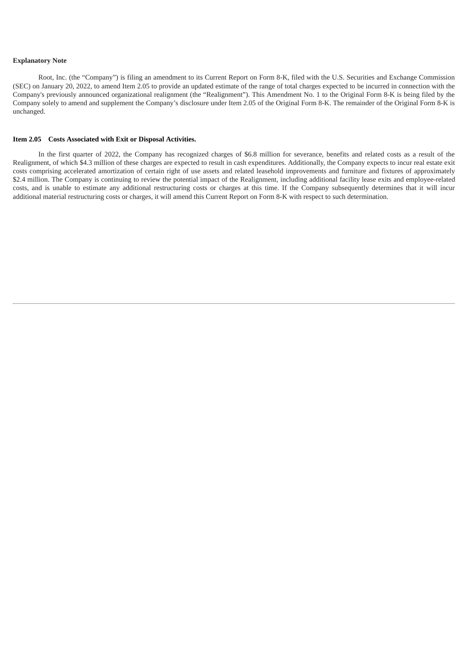#### **Explanatory Note**

Root, Inc. (the "Company") is filing an amendment to its Current Report on Form 8-K, filed with the U.S. Securities and Exchange Commission (SEC) on January 20, 2022, to amend Item 2.05 to provide an updated estimate of the range of total charges expected to be incurred in connection with the Company's previously announced organizational realignment (the "Realignment"). This Amendment No. 1 to the Original Form 8-K is being filed by the Company solely to amend and supplement the Company's disclosure under Item 2.05 of the Original Form 8-K. The remainder of the Original Form 8-K is unchanged.

#### **Item 2.05 Costs Associated with Exit or Disposal Activities.**

In the first quarter of 2022, the Company has recognized charges of \$6.8 million for severance, benefits and related costs as a result of the Realignment, of which \$4.3 million of these charges are expected to result in cash expenditures. Additionally, the Company expects to incur real estate exit costs comprising accelerated amortization of certain right of use assets and related leasehold improvements and furniture and fixtures of approximately \$2.4 million. The Company is continuing to review the potential impact of the Realignment, including additional facility lease exits and employee-related costs, and is unable to estimate any additional restructuring costs or charges at this time. If the Company subsequently determines that it will incur additional material restructuring costs or charges, it will amend this Current Report on Form 8-K with respect to such determination.